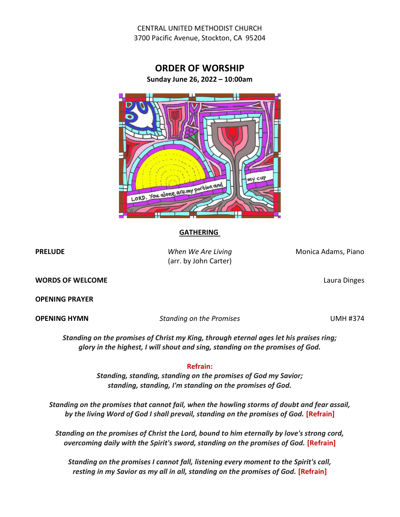CENTRAL UNITED METHODIST CHURCH 3700 Pacific Avenue, Stockton, CA 95204

ORDER OF WORSHIP Sunday June 26, 2022 – 10:00am



# **GATHERING**

(arr. by John Carter)

**PRELUDE** The Monical Adams, Piano When We Are Living The Monica Adams, Piano Monica Adams, Piano

**WORDS OF WELCOME Laura Dinges Laura Dinges Laura Dinges** 

OPENING PRAYER

**OPENING HYMN** Standing on the Promises **Standing on the Promises** UMH #374

Standing on the promises of Christ my King, through eternal ages let his praises ring; glory in the highest, I will shout and sing, standing on the promises of God.

# Refrain:

Standing, standing, standing on the promises of God my Savior; standing, standing, I'm standing on the promises of God.

Standing on the promises that cannot fail, when the howling storms of doubt and fear assail, by the living Word of God I shall prevail, standing on the promises of God. [Refrain]

Standing on the promises of Christ the Lord, bound to him eternally by love's strong cord, overcoming daily with the Spirit's sword, standing on the promises of God. [Refrain]

Standing on the promises I cannot fall, listening every moment to the Spirit's call, resting in my Savior as my all in all, standing on the promises of God. [Refrain]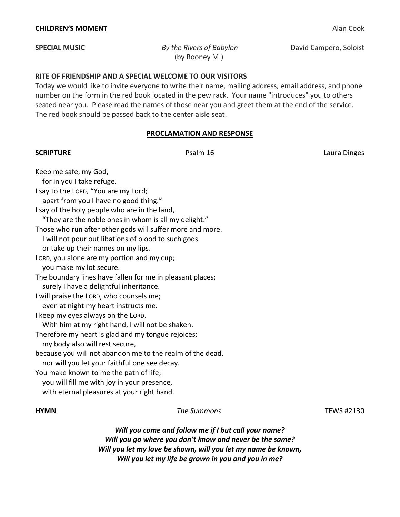## **CHILDREN'S MOMENT** Alan Cook **CHILDREN'S MOMENT**

## RITE OF FRIENDSHIP AND A SPECIAL WELCOME TO OUR VISITORS

Today we would like to invite everyone to write their name, mailing address, email address, and phone number on the form in the red book located in the pew rack. Your name "introduces" you to others seated near you. Please read the names of those near you and greet them at the end of the service. The red book should be passed back to the center aisle seat.

## PROCLAMATION AND RESPONSE

SCRIPTURE **Example 2018** Psalm 16 **Psalm 16** Psalm 16 Laura Dinges

Keep me safe, my God, for in you I take refuge. I say to the LORD, "You are my Lord; apart from you I have no good thing." I say of the holy people who are in the land, "They are the noble ones in whom is all my delight." Those who run after other gods will suffer more and more. I will not pour out libations of blood to such gods or take up their names on my lips. LORD, you alone are my portion and my cup; you make my lot secure. The boundary lines have fallen for me in pleasant places; surely I have a delightful inheritance. I will praise the LORD, who counsels me; even at night my heart instructs me. I keep my eyes always on the LORD. With him at my right hand, I will not be shaken. Therefore my heart is glad and my tongue rejoices; my body also will rest secure, because you will not abandon me to the realm of the dead, nor will you let your faithful one see decay. You make known to me the path of life; you will fill me with joy in your presence, with eternal pleasures at your right hand.

**HYMN** The Summons The Summons TFWS #2130

Will you come and follow me if I but call your name? Will you go where you don't know and never be the same? Will you let my love be shown, will you let my name be known, Will you let my life be grown in you and you in me?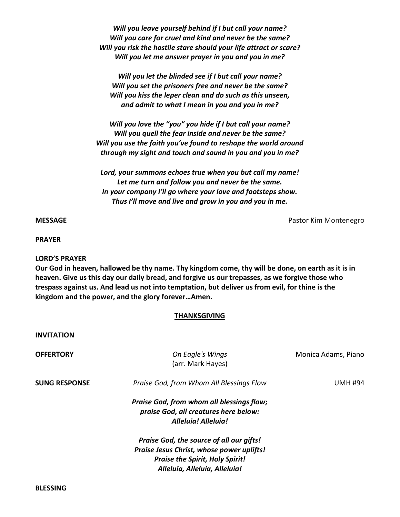Will you leave yourself behind if I but call your name? Will you care for cruel and kind and never be the same? Will you risk the hostile stare should your life attract or scare? Will you let me answer prayer in you and you in me?

Will you let the blinded see if I but call your name? Will you set the prisoners free and never be the same? Will you kiss the leper clean and do such as this unseen, and admit to what I mean in you and you in me?

Will you love the "you" you hide if I but call your name? Will you quell the fear inside and never be the same? Will you use the faith you've found to reshape the world around through my sight and touch and sound in you and you in me?

Lord, your summons echoes true when you but call my name! Let me turn and follow you and never be the same. In your company I'll go where your love and footsteps show. Thus I'll move and live and grow in you and you in me.

**MESSAGE** Pastor Kim Montenegro

### PRAYER

### LORD'S PRAYER

INVITATION

Our God in heaven, hallowed be thy name. Thy kingdom come, thy will be done, on earth as it is in heaven. Give us this day our daily bread, and forgive us our trepasses, as we forgive those who trespass against us. And lead us not into temptation, but deliver us from evil, for thine is the kingdom and the power, and the glory forever…Amen.

## THANKSGIVING

| <b>OFFERTORY</b>     | On Eagle's Wings<br>(arr. Mark Hayes)                                                                     | Monica Adams, Piano |
|----------------------|-----------------------------------------------------------------------------------------------------------|---------------------|
| <b>SUNG RESPONSE</b> | Praise God, from Whom All Blessings Flow                                                                  | <b>UMH #94</b>      |
|                      | Praise God, from whom all blessings flow;<br>praise God, all creatures here below:<br>Alleluia! Alleluia! |                     |
|                      | Praise God, the source of all our gifts!<br>Praise Jesus Christ, whose power uplifts!                     |                     |
|                      | <b>Praise the Spirit, Holy Spirit!</b><br>Alleluia, Alleluia, Alleluia!                                   |                     |
|                      |                                                                                                           |                     |

BLESSING